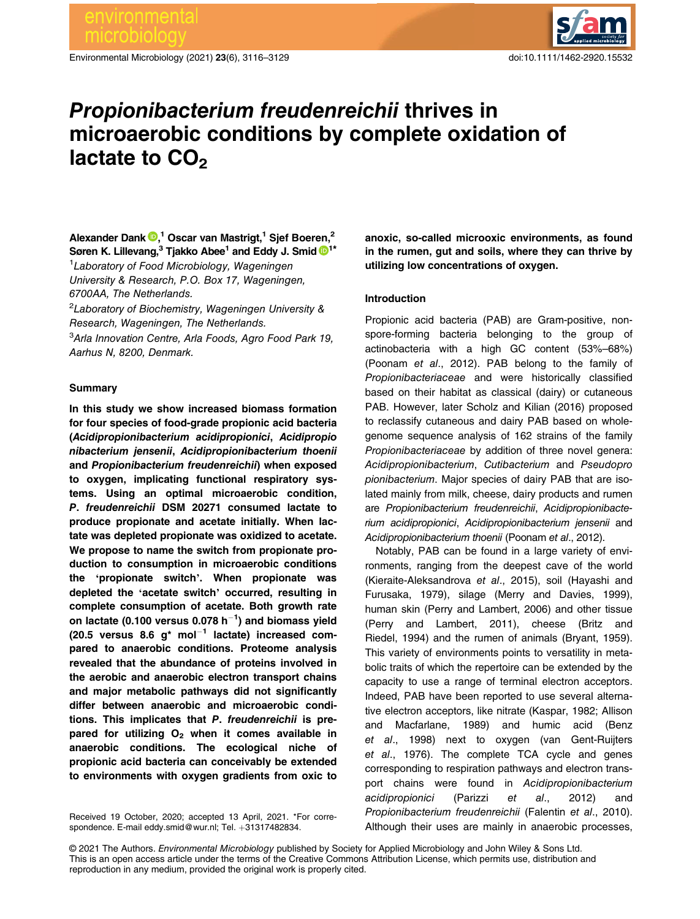Environmental Microbiology (2021) 23(6), 3116–3129 doi:10.1111/1462-2920.15532



# Propionibacterium freudenreichii thrives in microaerobic conditions by complete oxidation of lactate to  $CO<sub>2</sub>$

Alexander Dank  $\mathbf{\Theta},^{1}$  Oscar van Mastrigt,<sup>1</sup> Sjef Boeren,<sup>2</sup> Søren K. Lillevang,<sup>3</sup> Tjakko Abee<sup>[1](https://orcid.org/0000-0002-6687-5083)</sup> and Eddy J. Smid <sup>1\*</sup>

<sup>1</sup> Laboratory of Food Microbiology, Wageningen University & Research, P.O. Box 17, Wageningen, 6700AA, The Netherlands.

<sup>2</sup>Laboratory of Biochemistry, Wageningen University & Research, Wageningen, The Netherlands. <sup>3</sup>Arla Innovation Centre, Arla Foods, Agro Food Park 19, Aarhus N, 8200, Denmark.

## **Summary**

In this study we show increased biomass formation for four species of food-grade propionic acid bacteria (Acidipropionibacterium acidipropionici, Acidipropio nibacterium jensenii, Acidipropionibacterium thoenii and Propionibacterium freudenreichii) when exposed to oxygen, implicating functional respiratory systems. Using an optimal microaerobic condition, P. freudenreichii DSM 20271 consumed lactate to produce propionate and acetate initially. When lactate was depleted propionate was oxidized to acetate. We propose to name the switch from propionate production to consumption in microaerobic conditions the 'propionate switch'. When propionate was depleted the 'acetate switch' occurred, resulting in complete consumption of acetate. Both growth rate on lactate (0.100 versus 0.078 h $^{-1})$  and biomass yield (20.5 versus 8.6  $q^*$  mol<sup>-1</sup> lactate) increased compared to anaerobic conditions. Proteome analysis revealed that the abundance of proteins involved in the aerobic and anaerobic electron transport chains and major metabolic pathways did not significantly differ between anaerobic and microaerobic conditions. This implicates that P. freudenreichii is prepared for utilizing  $O<sub>2</sub>$  when it comes available in anaerobic conditions. The ecological niche of propionic acid bacteria can conceivably be extended to environments with oxygen gradients from oxic to

Received 19 October, 2020; accepted 13 April, 2021. \*For correspondence. E-mail [eddy.smid@wur.nl](mailto:eddy.smid@wur.nl); Tel. +31317482834.

anoxic, so-called microoxic environments, as found in the rumen, gut and soils, where they can thrive by utilizing low concentrations of oxygen.

## Introduction

Propionic acid bacteria (PAB) are Gram-positive, nonspore-forming bacteria belonging to the group of actinobacteria with a high GC content (53%–68%) (Poonam et al., 2012). PAB belong to the family of Propionibacteriaceae and were historically classified based on their habitat as classical (dairy) or cutaneous PAB. However, later Scholz and Kilian (2016) proposed to reclassify cutaneous and dairy PAB based on wholegenome sequence analysis of 162 strains of the family Propionibacteriaceae by addition of three novel genera: Acidipropionibacterium, Cutibacterium and Pseudopro pionibacterium. Major species of dairy PAB that are isolated mainly from milk, cheese, dairy products and rumen are Propionibacterium freudenreichii, Acidipropionibacterium acidipropionici, Acidipropionibacterium jensenii and Acidipropionibacterium thoenii (Poonam et al., 2012).

Notably, PAB can be found in a large variety of environments, ranging from the deepest cave of the world (Kieraite-Aleksandrova et al., 2015), soil (Hayashi and Furusaka, 1979), silage (Merry and Davies, 1999), human skin (Perry and Lambert, 2006) and other tissue (Perry and Lambert, 2011), cheese (Britz and Riedel, 1994) and the rumen of animals (Bryant, 1959). This variety of environments points to versatility in metabolic traits of which the repertoire can be extended by the capacity to use a range of terminal electron acceptors. Indeed, PAB have been reported to use several alternative electron acceptors, like nitrate (Kaspar, 1982; Allison and Macfarlane, 1989) and humic acid (Benz et al., 1998) next to oxygen (van Gent-Ruijters et al., 1976). The complete TCA cycle and genes corresponding to respiration pathways and electron transport chains were found in Acidipropionibacterium acidipropionici (Parizzi et al., 2012) and Propionibacterium freudenreichii (Falentin et al., 2010). Although their uses are mainly in anaerobic processes,

© 2021 The Authors. Environmental Microbiology published by Society for Applied Microbiology and John Wiley & Sons Ltd. This is an open access article under the terms of the [Creative Commons Attribution](http://creativecommons.org/licenses/by/4.0/) License, which permits use, distribution and reproduction in any medium, provided the original work is properly cited.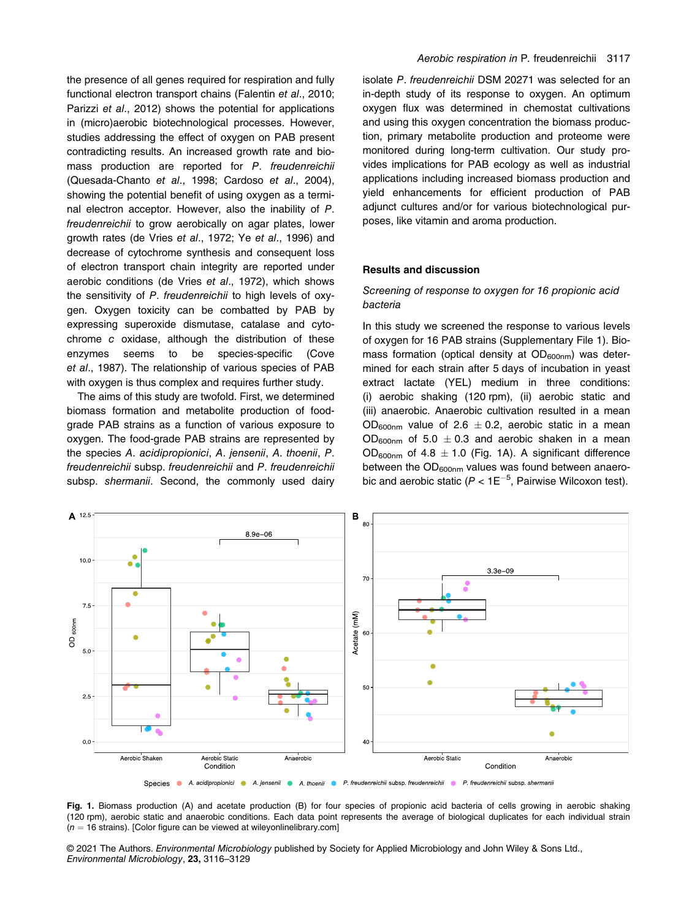the presence of all genes required for respiration and fully functional electron transport chains (Falentin et al., 2010; Parizzi et al., 2012) shows the potential for applications in (micro)aerobic biotechnological processes. However, studies addressing the effect of oxygen on PAB present contradicting results. An increased growth rate and biomass production are reported for P. freudenreichii (Quesada-Chanto et al., 1998; Cardoso et al., 2004), showing the potential benefit of using oxygen as a terminal electron acceptor. However, also the inability of P. freudenreichii to grow aerobically on agar plates, lower growth rates (de Vries et al., 1972; Ye et al., 1996) and decrease of cytochrome synthesis and consequent loss of electron transport chain integrity are reported under aerobic conditions (de Vries et al., 1972), which shows the sensitivity of P. freudenreichii to high levels of oxygen. Oxygen toxicity can be combatted by PAB by expressing superoxide dismutase, catalase and cytochrome c oxidase, although the distribution of these enzymes seems to be species-specific (Cove et al., 1987). The relationship of various species of PAB with oxygen is thus complex and requires further study.

The aims of this study are twofold. First, we determined biomass formation and metabolite production of foodgrade PAB strains as a function of various exposure to oxygen. The food-grade PAB strains are represented by the species A. acidipropionici, A. jensenii, A. thoenii, P. freudenreichii subsp. freudenreichii and P. freudenreichii subsp. shermanii. Second, the commonly used dairy

isolate P. freudenreichii DSM 20271 was selected for an in-depth study of its response to oxygen. An optimum oxygen flux was determined in chemostat cultivations and using this oxygen concentration the biomass production, primary metabolite production and proteome were monitored during long-term cultivation. Our study provides implications for PAB ecology as well as industrial applications including increased biomass production and yield enhancements for efficient production of PAB adjunct cultures and/or for various biotechnological purposes, like vitamin and aroma production.

#### Results and discussion

## Screening of response to oxygen for 16 propionic acid bacteria

In this study we screened the response to various levels of oxygen for 16 PAB strains (Supplementary File 1). Biomass formation (optical density at  $OD_{600nm}$ ) was determined for each strain after 5 days of incubation in yeast extract lactate (YEL) medium in three conditions: (i) aerobic shaking (120 rpm), (ii) aerobic static and (iii) anaerobic. Anaerobic cultivation resulted in a mean OD<sub>600nm</sub> value of 2.6  $\pm$  0.2, aerobic static in a mean  $OD_{600nm}$  of 5.0  $\pm$  0.3 and aerobic shaken in a mean OD<sub>600nm</sub> of 4.8  $\pm$  1.0 (Fig. 1A). A significant difference between the  $OD_{600nm}$  values was found between anaerobic and aerobic static ( $P < 1E^{-5}$ , Pairwise Wilcoxon test).



Species A acidipropionici A jensenii A thoenii P F freudenreichii subsp. freudenreichii P F freudenreichii subsp. shermanii

Fig. 1. Biomass production (A) and acetate production (B) for four species of propionic acid bacteria of cells growing in aerobic shaking (120 rpm), aerobic static and anaerobic conditions. Each data point represents the average of biological duplicates for each individual strain  $(n = 16$  strains). [Color figure can be viewed at [wileyonlinelibrary.com\]](http://wileyonlinelibrary.com)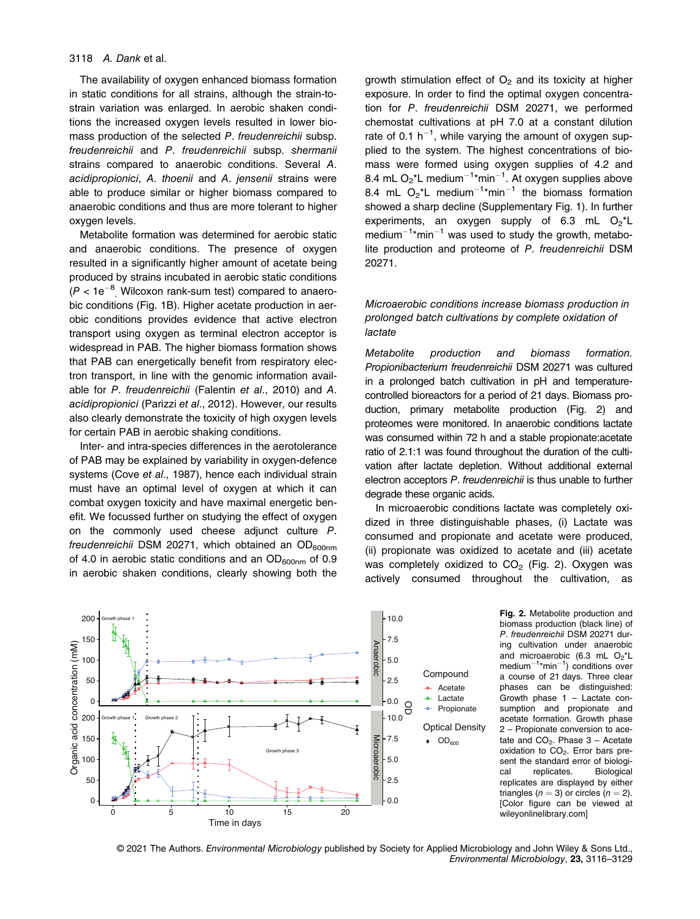The availability of oxygen enhanced biomass formation in static conditions for all strains, although the strain-tostrain variation was enlarged. In aerobic shaken conditions the increased oxygen levels resulted in lower biomass production of the selected P. freudenreichii subsp. freudenreichii and P. freudenreichii subsp. shermanii strains compared to anaerobic conditions. Several A. acidipropionici, A. thoenii and A. jensenii strains were able to produce similar or higher biomass compared to anaerobic conditions and thus are more tolerant to higher oxygen levels.

Metabolite formation was determined for aerobic static and anaerobic conditions. The presence of oxygen resulted in a significantly higher amount of acetate being produced by strains incubated in aerobic static conditions  $(P < 1e^{-8}$ , Wilcoxon rank-sum test) compared to anaerobic conditions (Fig. 1B). Higher acetate production in aerobic conditions provides evidence that active electron transport using oxygen as terminal electron acceptor is widespread in PAB. The higher biomass formation shows that PAB can energetically benefit from respiratory electron transport, in line with the genomic information available for P. freudenreichii (Falentin et al., 2010) and A. acidipropionici (Parizzi et al., 2012). However, our results also clearly demonstrate the toxicity of high oxygen levels for certain PAB in aerobic shaking conditions.

Inter- and intra-species differences in the aerotolerance of PAB may be explained by variability in oxygen-defence systems (Cove et al., 1987), hence each individual strain must have an optimal level of oxygen at which it can combat oxygen toxicity and have maximal energetic benefit. We focussed further on studying the effect of oxygen on the commonly used cheese adjunct culture P. freudenreichii DSM 20271, which obtained an  $OD_{600nm}$ of 4.0 in aerobic static conditions and an  $OD_{600nm}$  of 0.9 in aerobic shaken conditions, clearly showing both the growth stimulation effect of  $O<sub>2</sub>$  and its toxicity at higher exposure. In order to find the optimal oxygen concentration for P. freudenreichii DSM 20271, we performed chemostat cultivations at pH 7.0 at a constant dilution rate of 0.1  $h^{-1}$ , while varying the amount of oxygen supplied to the system. The highest concentrations of biomass were formed using oxygen supplies of 4.2 and 8.4 mL  $O_2$ \*L medium<sup>-1</sup>\*min<sup>-1</sup>. At oxygen supplies above 8.4 mL  $O_2$ <sup>\*</sup>L medium<sup>-1\*</sup>min<sup>-1</sup> the biomass formation showed a sharp decline (Supplementary Fig. 1). In further experiments, an oxygen supply of 6.3 mL  $O_2^{\star}$ L  $median^{-1*}$ min<sup>-1</sup> was used to study the growth, metabolite production and proteome of P. freudenreichii DSM 20271.

# Microaerobic conditions increase biomass production in prolonged batch cultivations by complete oxidation of lactate

Metabolite production and biomass formation. Propionibacterium freudenreichii DSM 20271 was cultured in a prolonged batch cultivation in pH and temperaturecontrolled bioreactors for a period of 21 days. Biomass production, primary metabolite production (Fig. 2) and proteomes were monitored. In anaerobic conditions lactate was consumed within 72 h and a stable propionate:acetate ratio of 2.1:1 was found throughout the duration of the cultivation after lactate depletion. Without additional external electron acceptors P. freudenreichii is thus unable to further degrade these organic acids.

In microaerobic conditions lactate was completely oxidized in three distinguishable phases, (i) Lactate was consumed and propionate and acetate were produced, (ii) propionate was oxidized to acetate and (iii) acetate was completely oxidized to  $CO<sub>2</sub>$  (Fig. 2). Oxygen was actively consumed throughout the cultivation, as



Fig. 2. Metabolite production and biomass production (black line) of P. freudenreichii DSM 20271 during cultivation under anaerobic and microaerobic (6.3 mL  $O_2$ <sup>\*</sup>L  $median^{-1*}min^{-1}$ ) conditions over a course of 21 days. Three clear phases can be distinguished: Growth phase 1 – Lactate consumption and propionate and acetate formation. Growth phase 2 – Propionate conversion to acetate and  $CO<sub>2</sub>$ . Phase  $3 -$  Acetate oxidation to  $CO<sub>2</sub>$ . Error bars present the standard error of biological replicates. Biological replicates are displayed by either triangles ( $n = 3$ ) or circles ( $n = 2$ ). [Color figure can be viewed at [wileyonlinelibrary.com](http://wileyonlinelibrary.com)]

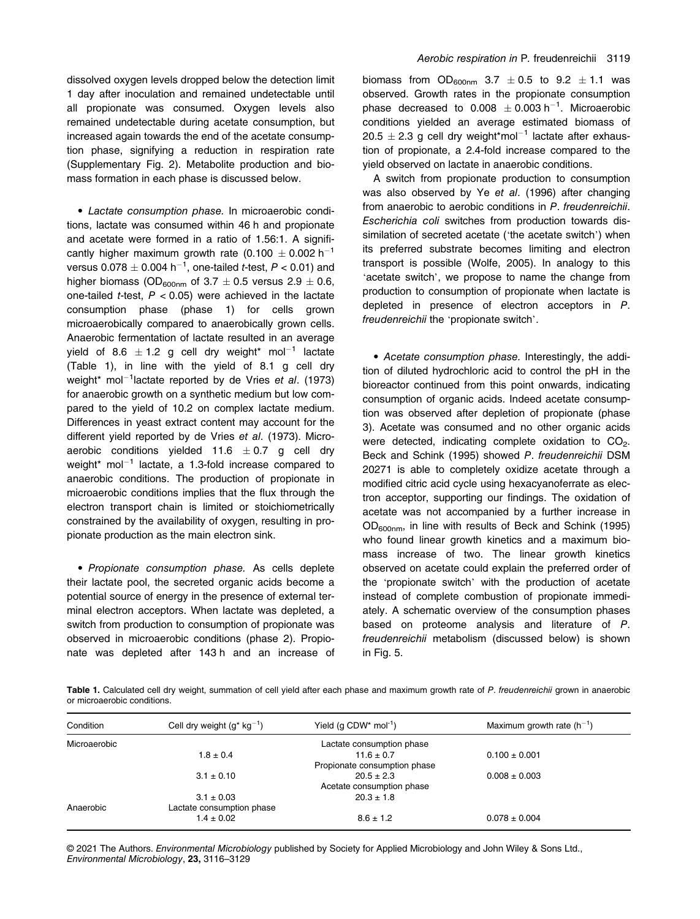dissolved oxygen levels dropped below the detection limit 1 day after inoculation and remained undetectable until all propionate was consumed. Oxygen levels also remained undetectable during acetate consumption, but increased again towards the end of the acetate consumption phase, signifying a reduction in respiration rate (Supplementary Fig. 2). Metabolite production and biomass formation in each phase is discussed below.

• Lactate consumption phase. In microaerobic conditions, lactate was consumed within 46 h and propionate and acetate were formed in a ratio of 1.56:1. A significantly higher maximum growth rate (0.100  $\pm$  0.002 h<sup>-1</sup> versus 0.078  $\pm$  0.004 h $^{-1}$ , one-tailed *t*-test,  $P <$  0.01) and higher biomass (OD<sub>600nm</sub> of 3.7  $\pm$  0.5 versus 2.9  $\pm$  0.6, one-tailed *t*-test,  $P < 0.05$ ) were achieved in the lactate consumption phase (phase 1) for cells grown microaerobically compared to anaerobically grown cells. Anaerobic fermentation of lactate resulted in an average yield of 8.6  $\pm$  1.2 g cell dry weight\* mol<sup>-1</sup> lactate (Table 1), in line with the yield of 8.1 g cell dry weight\* mol<sup>-1</sup>lactate reported by de Vries et al. (1973) for anaerobic growth on a synthetic medium but low compared to the yield of 10.2 on complex lactate medium. Differences in yeast extract content may account for the different yield reported by de Vries et al. (1973). Microaerobic conditions yielded 11.6  $\pm$  0.7 g cell dry weight\*  $mol^{-1}$  lactate, a 1.3-fold increase compared to anaerobic conditions. The production of propionate in microaerobic conditions implies that the flux through the electron transport chain is limited or stoichiometrically constrained by the availability of oxygen, resulting in propionate production as the main electron sink.

• Propionate consumption phase. As cells deplete their lactate pool, the secreted organic acids become a potential source of energy in the presence of external terminal electron acceptors. When lactate was depleted, a switch from production to consumption of propionate was observed in microaerobic conditions (phase 2). Propionate was depleted after 143 h and an increase of biomass from  $OD_{600nm}$  3.7  $\pm$  0.5 to 9.2  $\pm$  1.1 was observed. Growth rates in the propionate consumption phase decreased to  $0.008 \pm 0.003 \text{ h}^{-1}$ . Microaerobic conditions yielded an average estimated biomass of  $20.5 \pm 2.3$  g cell dry weight\*mol<sup>-1</sup> lactate after exhaustion of propionate, a 2.4-fold increase compared to the yield observed on lactate in anaerobic conditions.

A switch from propionate production to consumption was also observed by Ye et al. (1996) after changing from anaerobic to aerobic conditions in P. freudenreichii. Escherichia coli switches from production towards dissimilation of secreted acetate ('the acetate switch') when its preferred substrate becomes limiting and electron transport is possible (Wolfe, 2005). In analogy to this 'acetate switch', we propose to name the change from production to consumption of propionate when lactate is depleted in presence of electron acceptors in P. freudenreichii the 'propionate switch'.

• Acetate consumption phase. Interestingly, the addition of diluted hydrochloric acid to control the pH in the bioreactor continued from this point onwards, indicating consumption of organic acids. Indeed acetate consumption was observed after depletion of propionate (phase 3). Acetate was consumed and no other organic acids were detected, indicating complete oxidation to  $CO<sub>2</sub>$ . Beck and Schink (1995) showed P. freudenreichii DSM 20271 is able to completely oxidize acetate through a modified citric acid cycle using hexacyanoferrate as electron acceptor, supporting our findings. The oxidation of acetate was not accompanied by a further increase in OD600nm, in line with results of Beck and Schink (1995) who found linear growth kinetics and a maximum biomass increase of two. The linear growth kinetics observed on acetate could explain the preferred order of the 'propionate switch' with the production of acetate instead of complete combustion of propionate immediately. A schematic overview of the consumption phases based on proteome analysis and literature of P. freudenreichii metabolism (discussed below) is shown in Fig. 5.

Table 1. Calculated cell dry weight, summation of cell yield after each phase and maximum growth rate of P. freudenreichii grown in anaerobic or microaerobic conditions.

| Condition    | Cell dry weight $(g^*$ kg <sup>-1</sup> ) | Yield (q $CDW^*$ mol <sup>-1</sup> ) | Maximum growth rate $(h^{-1})$ |
|--------------|-------------------------------------------|--------------------------------------|--------------------------------|
| Microaerobic |                                           | Lactate consumption phase            |                                |
|              | $1.8 \pm 0.4$                             | $11.6 \pm 0.7$                       | $0.100 \pm 0.001$              |
|              |                                           | Propionate consumption phase         |                                |
|              | $3.1 \pm 0.10$                            | $20.5 \pm 2.3$                       | $0.008 \pm 0.003$              |
|              |                                           | Acetate consumption phase            |                                |
|              | $3.1 \pm 0.03$                            | $20.3 \pm 1.8$                       |                                |
| Anaerobic    | Lactate consumption phase                 |                                      |                                |
|              | $1.4 \pm 0.02$                            | $8.6 \pm 1.2$                        | $0.078 \pm 0.004$              |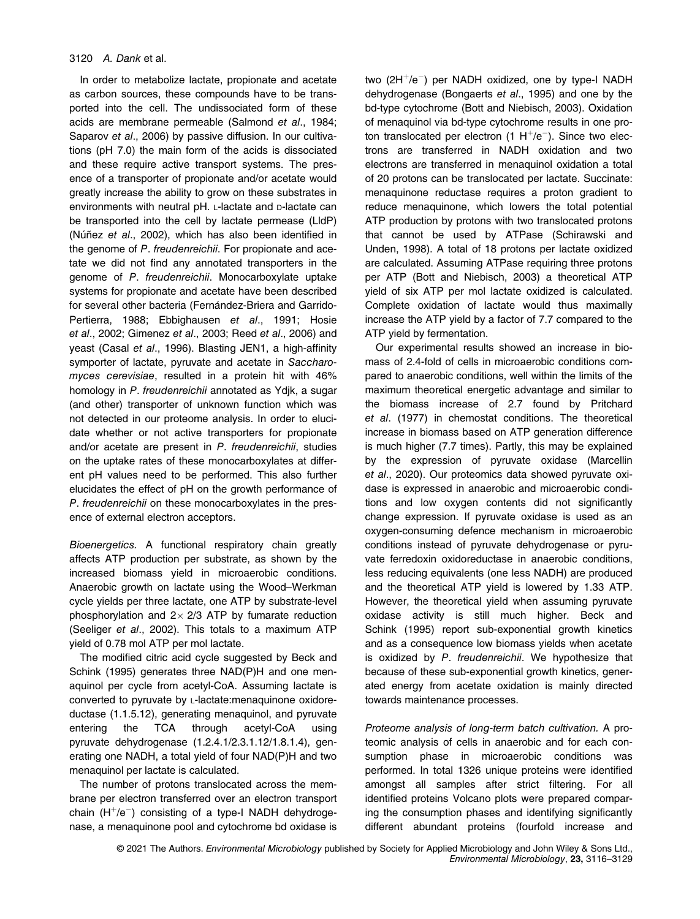In order to metabolize lactate, propionate and acetate as carbon sources, these compounds have to be transported into the cell. The undissociated form of these acids are membrane permeable (Salmond et al., 1984; Saparov et al., 2006) by passive diffusion. In our cultivations (pH 7.0) the main form of the acids is dissociated and these require active transport systems. The presence of a transporter of propionate and/or acetate would greatly increase the ability to grow on these substrates in environments with neutral pH. L-lactate and D-lactate can be transported into the cell by lactate permease (LldP) (Núñez et al., 2002), which has also been identified in the genome of P. freudenreichii. For propionate and acetate we did not find any annotated transporters in the genome of P. freudenreichii. Monocarboxylate uptake systems for propionate and acetate have been described for several other bacteria (Fernández-Briera and Garrido-Pertierra, 1988; Ebbighausen et al., 1991; Hosie et al., 2002; Gimenez et al., 2003; Reed et al., 2006) and yeast (Casal et al., 1996). Blasting JEN1, a high-affinity symporter of lactate, pyruvate and acetate in Saccharomyces cerevisiae, resulted in a protein hit with 46% homology in P. freudenreichii annotated as Ydjk, a sugar (and other) transporter of unknown function which was not detected in our proteome analysis. In order to elucidate whether or not active transporters for propionate and/or acetate are present in P. freudenreichii, studies on the uptake rates of these monocarboxylates at different pH values need to be performed. This also further elucidates the effect of pH on the growth performance of P. freudenreichii on these monocarboxylates in the presence of external electron acceptors.

Bioenergetics. A functional respiratory chain greatly affects ATP production per substrate, as shown by the increased biomass yield in microaerobic conditions. Anaerobic growth on lactate using the Wood–Werkman cycle yields per three lactate, one ATP by substrate-level phosphorylation and  $2 \times 2/3$  ATP by fumarate reduction (Seeliger et al., 2002). This totals to a maximum ATP yield of 0.78 mol ATP per mol lactate.

The modified citric acid cycle suggested by Beck and Schink (1995) generates three NAD(P)H and one menaquinol per cycle from acetyl-CoA. Assuming lactate is converted to pyruvate by L-lactate:menaquinone oxidoreductase (1.1.5.12), generating menaquinol, and pyruvate entering the TCA through acetyl-CoA using pyruvate dehydrogenase (1.2.4.1/2.3.1.12/1.8.1.4), generating one NADH, a total yield of four NAD(P)H and two menaquinol per lactate is calculated.

The number of protons translocated across the membrane per electron transferred over an electron transport chain  $(H^+/e^-)$  consisting of a type-I NADH dehydrogenase, a menaquinone pool and cytochrome bd oxidase is two (2H<sup>+</sup>/e<sup>-</sup>) per NADH oxidized, one by type-I NADH dehydrogenase (Bongaerts et al., 1995) and one by the bd-type cytochrome (Bott and Niebisch, 2003). Oxidation of menaquinol via bd-type cytochrome results in one proton translocated per electron  $(1 H<sup>+</sup>/e<sup>-</sup>)$ . Since two electrons are transferred in NADH oxidation and two electrons are transferred in menaquinol oxidation a total of 20 protons can be translocated per lactate. Succinate: menaquinone reductase requires a proton gradient to reduce menaquinone, which lowers the total potential ATP production by protons with two translocated protons that cannot be used by ATPase (Schirawski and Unden, 1998). A total of 18 protons per lactate oxidized are calculated. Assuming ATPase requiring three protons per ATP (Bott and Niebisch, 2003) a theoretical ATP yield of six ATP per mol lactate oxidized is calculated. Complete oxidation of lactate would thus maximally increase the ATP yield by a factor of 7.7 compared to the ATP yield by fermentation.

Our experimental results showed an increase in biomass of 2.4-fold of cells in microaerobic conditions compared to anaerobic conditions, well within the limits of the maximum theoretical energetic advantage and similar to the biomass increase of 2.7 found by Pritchard et al. (1977) in chemostat conditions. The theoretical increase in biomass based on ATP generation difference is much higher (7.7 times). Partly, this may be explained by the expression of pyruvate oxidase (Marcellin et al., 2020). Our proteomics data showed pyruvate oxidase is expressed in anaerobic and microaerobic conditions and low oxygen contents did not significantly change expression. If pyruvate oxidase is used as an oxygen-consuming defence mechanism in microaerobic conditions instead of pyruvate dehydrogenase or pyruvate ferredoxin oxidoreductase in anaerobic conditions, less reducing equivalents (one less NADH) are produced and the theoretical ATP yield is lowered by 1.33 ATP. However, the theoretical yield when assuming pyruvate oxidase activity is still much higher. Beck and Schink (1995) report sub-exponential growth kinetics and as a consequence low biomass yields when acetate is oxidized by P. freudenreichii. We hypothesize that because of these sub-exponential growth kinetics, generated energy from acetate oxidation is mainly directed towards maintenance processes.

Proteome analysis of long-term batch cultivation. A proteomic analysis of cells in anaerobic and for each consumption phase in microaerobic conditions was performed. In total 1326 unique proteins were identified amongst all samples after strict filtering. For all identified proteins Volcano plots were prepared comparing the consumption phases and identifying significantly different abundant proteins (fourfold increase and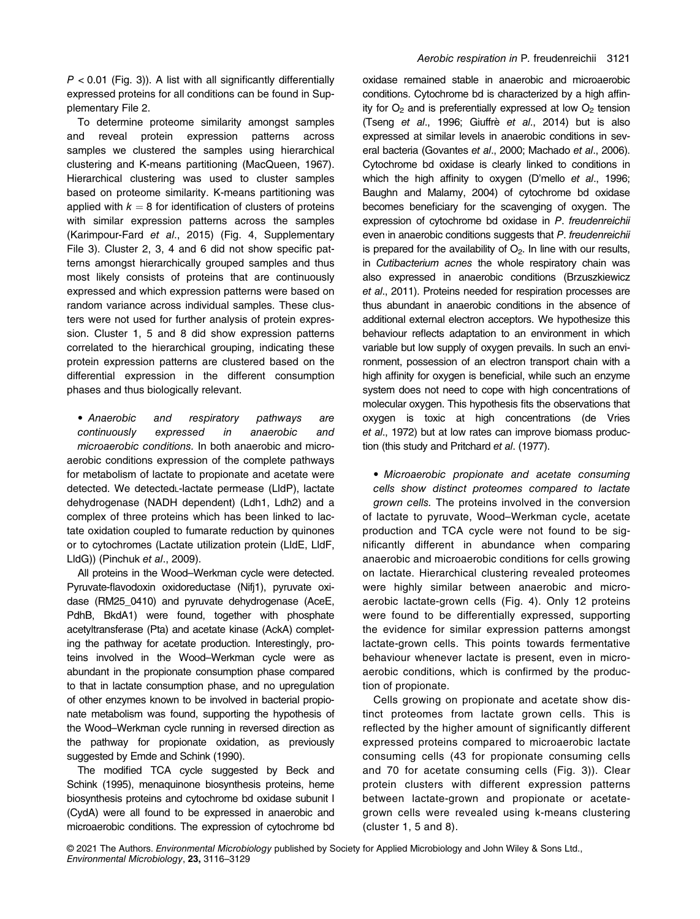$P < 0.01$  (Fig. 3)). A list with all significantly differentially expressed proteins for all conditions can be found in Supplementary File 2.

To determine proteome similarity amongst samples and reveal protein expression patterns across samples we clustered the samples using hierarchical clustering and K-means partitioning (MacQueen, 1967). Hierarchical clustering was used to cluster samples based on proteome similarity. K-means partitioning was applied with  $k = 8$  for identification of clusters of proteins with similar expression patterns across the samples (Karimpour-Fard et al., 2015) (Fig. 4, Supplementary File 3). Cluster 2, 3, 4 and 6 did not show specific patterns amongst hierarchically grouped samples and thus most likely consists of proteins that are continuously expressed and which expression patterns were based on random variance across individual samples. These clusters were not used for further analysis of protein expression. Cluster 1, 5 and 8 did show expression patterns correlated to the hierarchical grouping, indicating these protein expression patterns are clustered based on the differential expression in the different consumption phases and thus biologically relevant.

• Anaerobic and respiratory pathways are continuously expressed in anaerobic and microaerobic conditions. In both anaerobic and microaerobic conditions expression of the complete pathways for metabolism of lactate to propionate and acetate were detected. We detectedL-lactate permease (LldP), lactate dehydrogenase (NADH dependent) (Ldh1, Ldh2) and a complex of three proteins which has been linked to lactate oxidation coupled to fumarate reduction by quinones or to cytochromes (Lactate utilization protein (LldE, LldF, LldG)) (Pinchuk et al., 2009).

All proteins in the Wood–Werkman cycle were detected. Pyruvate-flavodoxin oxidoreductase (Nifj1), pyruvate oxidase (RM25\_0410) and pyruvate dehydrogenase (AceE, PdhB, BkdA1) were found, together with phosphate acetyltransferase (Pta) and acetate kinase (AckA) completing the pathway for acetate production. Interestingly, proteins involved in the Wood–Werkman cycle were as abundant in the propionate consumption phase compared to that in lactate consumption phase, and no upregulation of other enzymes known to be involved in bacterial propionate metabolism was found, supporting the hypothesis of the Wood–Werkman cycle running in reversed direction as the pathway for propionate oxidation, as previously suggested by Emde and Schink (1990).

The modified TCA cycle suggested by Beck and Schink (1995), menaquinone biosynthesis proteins, heme biosynthesis proteins and cytochrome bd oxidase subunit I (CydA) were all found to be expressed in anaerobic and microaerobic conditions. The expression of cytochrome bd

oxidase remained stable in anaerobic and microaerobic conditions. Cytochrome bd is characterized by a high affinity for  $O<sub>2</sub>$  and is preferentially expressed at low  $O<sub>2</sub>$  tension (Tseng et al., 1996; Giuffrè et al., 2014) but is also expressed at similar levels in anaerobic conditions in several bacteria (Govantes et al., 2000; Machado et al., 2006). Cytochrome bd oxidase is clearly linked to conditions in which the high affinity to oxygen (D'mello et al., 1996; Baughn and Malamy, 2004) of cytochrome bd oxidase becomes beneficiary for the scavenging of oxygen. The expression of cytochrome bd oxidase in P. freudenreichii even in anaerobic conditions suggests that P. freudenreichii is prepared for the availability of  $O<sub>2</sub>$ . In line with our results, in Cutibacterium acnes the whole respiratory chain was also expressed in anaerobic conditions (Brzuszkiewicz et al., 2011). Proteins needed for respiration processes are thus abundant in anaerobic conditions in the absence of additional external electron acceptors. We hypothesize this behaviour reflects adaptation to an environment in which variable but low supply of oxygen prevails. In such an environment, possession of an electron transport chain with a high affinity for oxygen is beneficial, while such an enzyme system does not need to cope with high concentrations of molecular oxygen. This hypothesis fits the observations that oxygen is toxic at high concentrations (de Vries et al., 1972) but at low rates can improve biomass production (this study and Pritchard et al. (1977).

• Microaerobic propionate and acetate consuming cells show distinct proteomes compared to lactate grown cells. The proteins involved in the conversion of lactate to pyruvate, Wood–Werkman cycle, acetate production and TCA cycle were not found to be significantly different in abundance when comparing anaerobic and microaerobic conditions for cells growing on lactate. Hierarchical clustering revealed proteomes were highly similar between anaerobic and microaerobic lactate-grown cells (Fig. 4). Only 12 proteins were found to be differentially expressed, supporting the evidence for similar expression patterns amongst lactate-grown cells. This points towards fermentative behaviour whenever lactate is present, even in microaerobic conditions, which is confirmed by the production of propionate.

Cells growing on propionate and acetate show distinct proteomes from lactate grown cells. This is reflected by the higher amount of significantly different expressed proteins compared to microaerobic lactate consuming cells (43 for propionate consuming cells and 70 for acetate consuming cells (Fig. 3)). Clear protein clusters with different expression patterns between lactate-grown and propionate or acetategrown cells were revealed using k-means clustering (cluster 1, 5 and 8).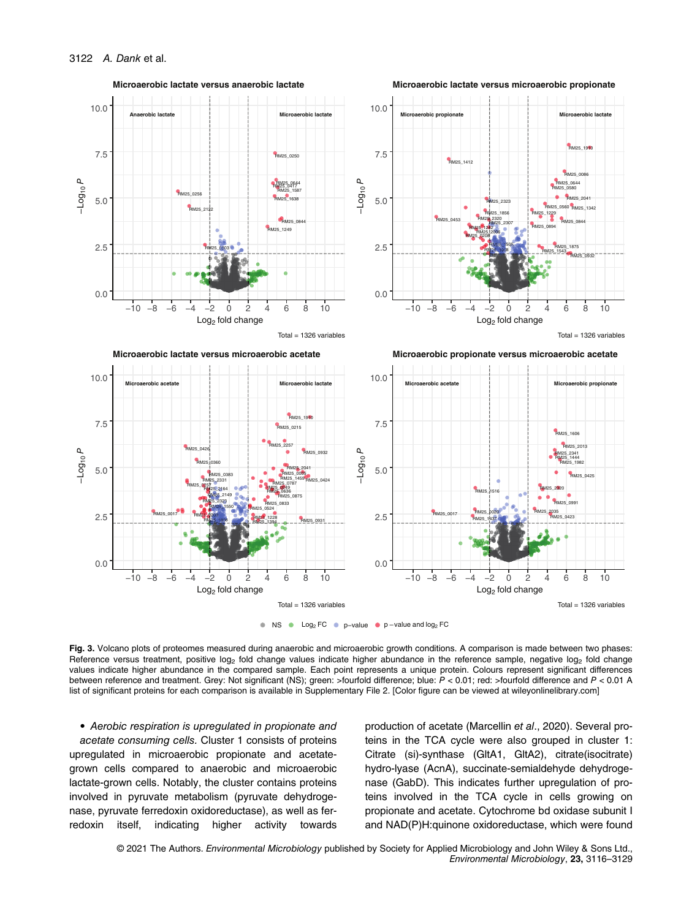

NS Log2 FC p−value <sup>p</sup> <sup>−</sup>value and log2 FC

Fig. 3. Volcano plots of proteomes measured during anaerobic and microaerobic growth conditions. A comparison is made between two phases: Reference versus treatment, positive log<sub>2</sub> fold change values indicate higher abundance in the reference sample, negative log<sub>2</sub> fold change values indicate higher abundance in the compared sample. Each point represents a unique protein. Colours represent significant differences between reference and treatment. Grey: Not significant (NS); green: >fourfold difference; blue: P < 0.01; red: >fourfold difference and P < 0.01 A list of significant proteins for each comparison is available in Supplementary File 2. [Color figure can be viewed at [wileyonlinelibrary.com\]](http://wileyonlinelibrary.com)

• Aerobic respiration is upregulated in propionate and acetate consuming cells. Cluster 1 consists of proteins upregulated in microaerobic propionate and acetategrown cells compared to anaerobic and microaerobic lactate-grown cells. Notably, the cluster contains proteins involved in pyruvate metabolism (pyruvate dehydrogenase, pyruvate ferredoxin oxidoreductase), as well as ferredoxin itself, indicating higher activity towards production of acetate (Marcellin et al., 2020). Several proteins in the TCA cycle were also grouped in cluster 1: Citrate (si)-synthase (GltA1, GltA2), citrate(isocitrate) hydro-lyase (AcnA), succinate-semialdehyde dehydrogenase (GabD). This indicates further upregulation of proteins involved in the TCA cycle in cells growing on propionate and acetate. Cytochrome bd oxidase subunit I and NAD(P)H:quinone oxidoreductase, which were found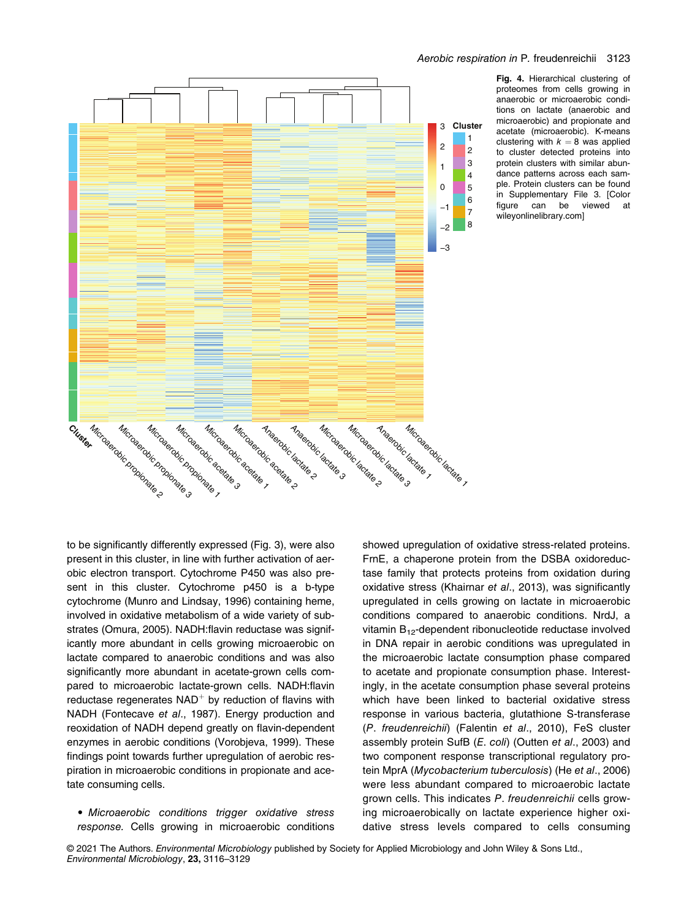

Fig. 4. Hierarchical clustering of proteomes from cells growing in anaerobic or microaerobic conditions on lactate (anaerobic and microaerobic) and propionate and acetate (microaerobic). K-means clustering with  $k = 8$  was applied to cluster detected proteins into protein clusters with similar abundance patterns across each sample. Protein clusters can be found in Supplementary File 3. [Color figure can be viewed at [wileyonlinelibrary.com](http://wileyonlinelibrary.com)]

to be significantly differently expressed (Fig. 3), were also present in this cluster, in line with further activation of aerobic electron transport. Cytochrome P450 was also present in this cluster. Cytochrome p450 is a b-type cytochrome (Munro and Lindsay, 1996) containing heme, involved in oxidative metabolism of a wide variety of substrates (Omura, 2005). NADH:flavin reductase was significantly more abundant in cells growing microaerobic on lactate compared to anaerobic conditions and was also significantly more abundant in acetate-grown cells compared to microaerobic lactate-grown cells. NADH:flavin reductase regenerates  $NAD<sup>+</sup>$  by reduction of flavins with NADH (Fontecave et al., 1987). Energy production and reoxidation of NADH depend greatly on flavin-dependent enzymes in aerobic conditions (Vorobjeva, 1999). These findings point towards further upregulation of aerobic respiration in microaerobic conditions in propionate and acetate consuming cells.

• Microaerobic conditions trigger oxidative stress response. Cells growing in microaerobic conditions showed upregulation of oxidative stress-related proteins. FrnE, a chaperone protein from the DSBA oxidoreductase family that protects proteins from oxidation during oxidative stress (Khairnar et al., 2013), was significantly upregulated in cells growing on lactate in microaerobic conditions compared to anaerobic conditions. NrdJ, a vitamin  $B_{12}$ -dependent ribonucleotide reductase involved in DNA repair in aerobic conditions was upregulated in the microaerobic lactate consumption phase compared to acetate and propionate consumption phase. Interestingly, in the acetate consumption phase several proteins which have been linked to bacterial oxidative stress response in various bacteria, glutathione S-transferase (P. freudenreichii) (Falentin et al., 2010), FeS cluster assembly protein SufB (E. coli) (Outten et al., 2003) and two component response transcriptional regulatory protein MprA (Mycobacterium tuberculosis) (He et al., 2006) were less abundant compared to microaerobic lactate grown cells. This indicates P. freudenreichii cells growing microaerobically on lactate experience higher oxidative stress levels compared to cells consuming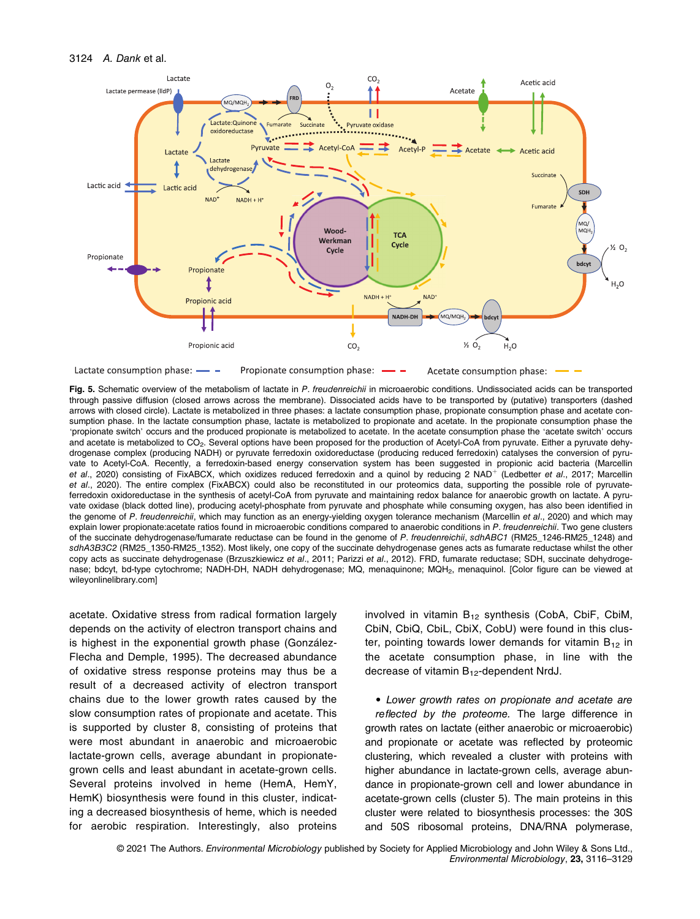#### 3124 A. Dank et al.



Lactate consumption phase: -Propionate consumption phase: Acetate consumption phase:

Fig. 5. Schematic overview of the metabolism of lactate in P. freudenreichii in microaerobic conditions. Undissociated acids can be transported through passive diffusion (closed arrows across the membrane). Dissociated acids have to be transported by (putative) transporters (dashed arrows with closed circle). Lactate is metabolized in three phases: a lactate consumption phase, propionate consumption phase and acetate consumption phase. In the lactate consumption phase, lactate is metabolized to propionate and acetate. In the propionate consumption phase the 'propionate switch' occurs and the produced propionate is metabolized to acetate. In the acetate consumption phase the 'acetate switch' occurs and acetate is metabolized to CO<sub>2</sub>. Several options have been proposed for the production of Acetyl-CoA from pyruvate. Either a pyruvate dehydrogenase complex (producing NADH) or pyruvate ferredoxin oxidoreductase (producing reduced ferredoxin) catalyses the conversion of pyruvate to Acetyl-CoA. Recently, a ferredoxin-based energy conservation system has been suggested in propionic acid bacteria (Marcellin et al., 2020) consisting of FixABCX, which oxidizes reduced ferredoxin and a quinol by reducing 2 NAD<sup>+</sup> (Ledbetter et al., 2017; Marcellin et al., 2020). The entire complex (FixABCX) could also be reconstituted in our proteomics data, supporting the possible role of pyruvateferredoxin oxidoreductase in the synthesis of acetyl-CoA from pyruvate and maintaining redox balance for anaerobic growth on lactate. A pyruvate oxidase (black dotted line), producing acetyl-phosphate from pyruvate and phosphate while consuming oxygen, has also been identified in the genome of P. freudenreichii, which may function as an energy-yielding oxygen tolerance mechanism (Marcellin et al., 2020) and which may explain lower propionate: acetate ratios found in microaerobic conditions compared to anaerobic conditions in P. freudenreichii. Two gene clusters of the succinate dehydrogenase/fumarate reductase can be found in the genome of P. freudenreichii, sdhABC1 (RM25 1246-RM25 1248) and sdhA3B3C2 (RM25\_1350-RM25\_1352). Most likely, one copy of the succinate dehydrogenase genes acts as fumarate reductase whilst the other copy acts as succinate dehydrogenase (Brzuszkiewicz et al., 2011; Parizzi et al., 2012). FRD, fumarate reductase; SDH, succinate dehydrogenase; bdcyt, bd-type cytochrome; NADH-DH, NADH dehydrogenase; MQ, menaquinone; MQH2, menaquinol. [Color figure can be viewed at [wileyonlinelibrary.com\]](http://wileyonlinelibrary.com)

acetate. Oxidative stress from radical formation largely depends on the activity of electron transport chains and is highest in the exponential growth phase (González-Flecha and Demple, 1995). The decreased abundance of oxidative stress response proteins may thus be a result of a decreased activity of electron transport chains due to the lower growth rates caused by the slow consumption rates of propionate and acetate. This is supported by cluster 8, consisting of proteins that were most abundant in anaerobic and microaerobic lactate-grown cells, average abundant in propionategrown cells and least abundant in acetate-grown cells. Several proteins involved in heme (HemA, HemY, HemK) biosynthesis were found in this cluster, indicating a decreased biosynthesis of heme, which is needed for aerobic respiration. Interestingly, also proteins

involved in vitamin  $B_{12}$  synthesis (CobA, CbiF, CbiM, CbiN, CbiQ, CbiL, CbiX, CobU) were found in this cluster, pointing towards lower demands for vitamin  $B_{12}$  in the acetate consumption phase, in line with the decrease of vitamin B<sub>12</sub>-dependent NrdJ.

• Lower growth rates on propionate and acetate are reflected by the proteome. The large difference in growth rates on lactate (either anaerobic or microaerobic) and propionate or acetate was reflected by proteomic clustering, which revealed a cluster with proteins with higher abundance in lactate-grown cells, average abundance in propionate-grown cell and lower abundance in acetate-grown cells (cluster 5). The main proteins in this cluster were related to biosynthesis processes: the 30S and 50S ribosomal proteins, DNA/RNA polymerase,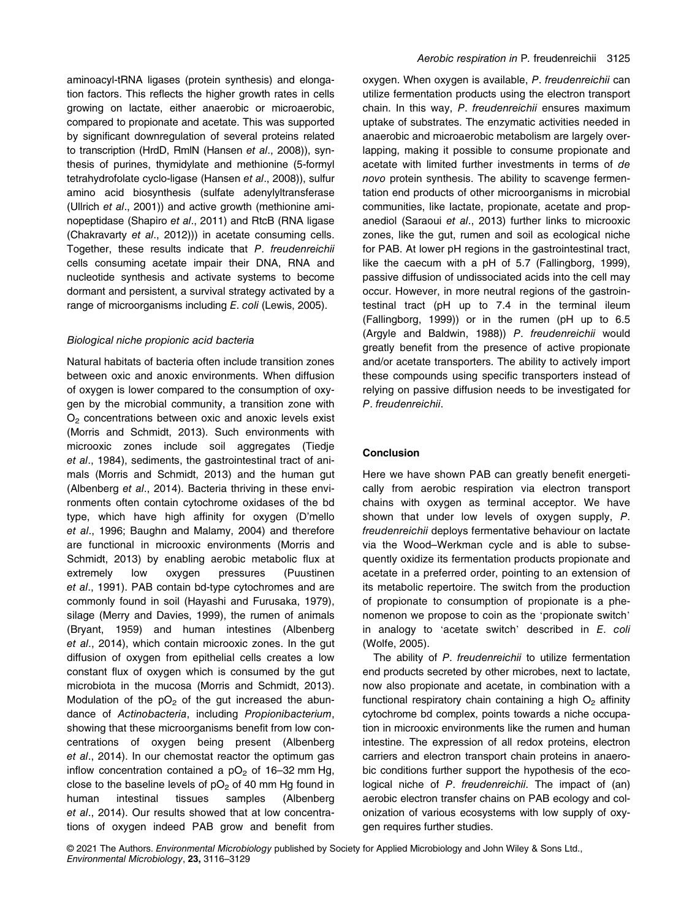aminoacyl-tRNA ligases (protein synthesis) and elongation factors. This reflects the higher growth rates in cells growing on lactate, either anaerobic or microaerobic, compared to propionate and acetate. This was supported by significant downregulation of several proteins related to transcription (HrdD, RmlN (Hansen et al., 2008)), synthesis of purines, thymidylate and methionine (5-formyl tetrahydrofolate cyclo-ligase (Hansen et al., 2008)), sulfur amino acid biosynthesis (sulfate adenylyltransferase (Ullrich et al., 2001)) and active growth (methionine aminopeptidase (Shapiro et al., 2011) and RtcB (RNA ligase (Chakravarty et al., 2012))) in acetate consuming cells. Together, these results indicate that P. freudenreichii cells consuming acetate impair their DNA, RNA and nucleotide synthesis and activate systems to become dormant and persistent, a survival strategy activated by a range of microorganisms including E. coli (Lewis, 2005).

## Biological niche propionic acid bacteria

Natural habitats of bacteria often include transition zones between oxic and anoxic environments. When diffusion of oxygen is lower compared to the consumption of oxygen by the microbial community, a transition zone with  $O<sub>2</sub>$  concentrations between oxic and anoxic levels exist (Morris and Schmidt, 2013). Such environments with microoxic zones include soil aggregates (Tiedje et al., 1984), sediments, the gastrointestinal tract of animals (Morris and Schmidt, 2013) and the human gut (Albenberg et al., 2014). Bacteria thriving in these environments often contain cytochrome oxidases of the bd type, which have high affinity for oxygen (D'mello et al., 1996; Baughn and Malamy, 2004) and therefore are functional in microoxic environments (Morris and Schmidt, 2013) by enabling aerobic metabolic flux at extremely low oxygen pressures (Puustinen et al., 1991). PAB contain bd-type cytochromes and are commonly found in soil (Hayashi and Furusaka, 1979), silage (Merry and Davies, 1999), the rumen of animals (Bryant, 1959) and human intestines (Albenberg et al., 2014), which contain microoxic zones. In the gut diffusion of oxygen from epithelial cells creates a low constant flux of oxygen which is consumed by the gut microbiota in the mucosa (Morris and Schmidt, 2013). Modulation of the  $pO<sub>2</sub>$  of the gut increased the abundance of Actinobacteria, including Propionibacterium, showing that these microorganisms benefit from low concentrations of oxygen being present (Albenberg et al., 2014). In our chemostat reactor the optimum gas inflow concentration contained a  $pO<sub>2</sub>$  of 16–32 mm Hg, close to the baseline levels of  $pO<sub>2</sub>$  of 40 mm Hg found in human intestinal tissues samples (Albenberg et al., 2014). Our results showed that at low concentrations of oxygen indeed PAB grow and benefit from

oxygen. When oxygen is available, P. freudenreichii can utilize fermentation products using the electron transport chain. In this way, P. freudenreichii ensures maximum uptake of substrates. The enzymatic activities needed in anaerobic and microaerobic metabolism are largely overlapping, making it possible to consume propionate and acetate with limited further investments in terms of de novo protein synthesis. The ability to scavenge fermentation end products of other microorganisms in microbial communities, like lactate, propionate, acetate and propanediol (Saraoui et al., 2013) further links to microoxic zones, like the gut, rumen and soil as ecological niche for PAB. At lower pH regions in the gastrointestinal tract, like the caecum with a pH of 5.7 (Fallingborg, 1999), passive diffusion of undissociated acids into the cell may occur. However, in more neutral regions of the gastrointestinal tract (pH up to 7.4 in the terminal ileum (Fallingborg, 1999)) or in the rumen (pH up to 6.5 (Argyle and Baldwin, 1988)) P. freudenreichii would greatly benefit from the presence of active propionate and/or acetate transporters. The ability to actively import these compounds using specific transporters instead of relying on passive diffusion needs to be investigated for P. freudenreichii.

## Conclusion

Here we have shown PAB can greatly benefit energetically from aerobic respiration via electron transport chains with oxygen as terminal acceptor. We have shown that under low levels of oxygen supply, P. freudenreichii deploys fermentative behaviour on lactate via the Wood–Werkman cycle and is able to subsequently oxidize its fermentation products propionate and acetate in a preferred order, pointing to an extension of its metabolic repertoire. The switch from the production of propionate to consumption of propionate is a phenomenon we propose to coin as the 'propionate switch' in analogy to 'acetate switch' described in  $E$ . coli (Wolfe, 2005).

The ability of P. freudenreichii to utilize fermentation end products secreted by other microbes, next to lactate, now also propionate and acetate, in combination with a functional respiratory chain containing a high  $O<sub>2</sub>$  affinity cytochrome bd complex, points towards a niche occupation in microoxic environments like the rumen and human intestine. The expression of all redox proteins, electron carriers and electron transport chain proteins in anaerobic conditions further support the hypothesis of the ecological niche of P. freudenreichii. The impact of (an) aerobic electron transfer chains on PAB ecology and colonization of various ecosystems with low supply of oxygen requires further studies.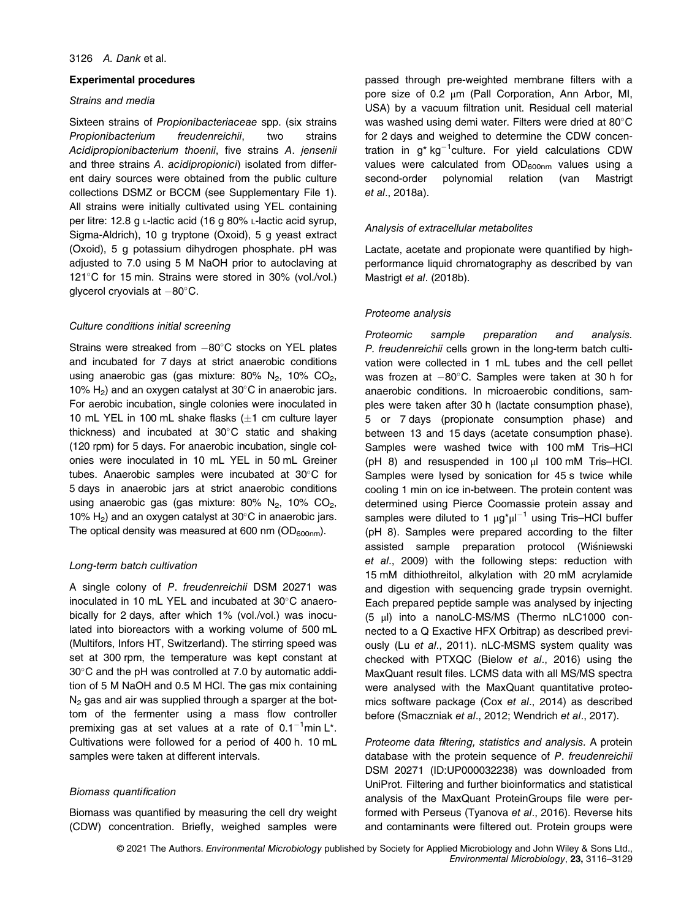#### Experimental procedures

## Strains and media

Sixteen strains of Propionibacteriaceae spp. (six strains Propionibacterium freudenreichii, two strains Acidipropionibacterium thoenii, five strains A. jensenii and three strains A. acidipropionici) isolated from different dairy sources were obtained from the public culture collections DSMZ or BCCM (see Supplementary File 1). All strains were initially cultivated using YEL containing per litre: 12.8 g L-lactic acid (16 g 80% L-lactic acid syrup, Sigma-Aldrich), 10 g tryptone (Oxoid), 5 g yeast extract (Oxoid), 5 g potassium dihydrogen phosphate. pH was adjusted to 7.0 using 5 M NaOH prior to autoclaving at 121°C for 15 min. Strains were stored in 30% (vol./vol.) glycerol cryovials at  $-80^{\circ}$ C.

#### Culture conditions initial screening

Strains were streaked from  $-80^{\circ}$ C stocks on YEL plates and incubated for 7 days at strict anaerobic conditions using anaerobic gas (gas mixture:  $80\%$  N<sub>2</sub>, 10% CO<sub>2</sub>, 10%  $H_2$ ) and an oxygen catalyst at 30 $\degree$ C in anaerobic jars. For aerobic incubation, single colonies were inoculated in 10 mL YEL in 100 mL shake flasks  $(\pm 1$  cm culture layer thickness) and incubated at  $30^{\circ}$ C static and shaking (120 rpm) for 5 days. For anaerobic incubation, single colonies were inoculated in 10 mL YEL in 50 mL Greiner tubes. Anaerobic samples were incubated at  $30^{\circ}$ C for 5 days in anaerobic jars at strict anaerobic conditions using anaerobic gas (gas mixture:  $80\%$  N<sub>2</sub>,  $10\%$  CO<sub>2</sub>, 10%  $H_2$ ) and an oxygen catalyst at 30°C in anaerobic jars. The optical density was measured at 600 nm  $(OD_{600nm})$ .

#### Long-term batch cultivation

A single colony of P. freudenreichii DSM 20271 was inoculated in 10 mL YEL and incubated at 30°C anaerobically for 2 days, after which 1% (vol./vol.) was inoculated into bioreactors with a working volume of 500 mL (Multifors, Infors HT, Switzerland). The stirring speed was set at 300 rpm, the temperature was kept constant at  $30^{\circ}$ C and the pH was controlled at 7.0 by automatic addition of 5 M NaOH and 0.5 M HCl. The gas mix containing  $N_2$  gas and air was supplied through a sparger at the bottom of the fermenter using a mass flow controller premixing gas at set values at a rate of 0.1<sup>-1</sup>min L\*. Cultivations were followed for a period of 400 h. 10 mL samples were taken at different intervals.

## Biomass quantification

Biomass was quantified by measuring the cell dry weight (CDW) concentration. Briefly, weighed samples were passed through pre-weighted membrane filters with a pore size of 0.2 μm (Pall Corporation, Ann Arbor, MI, USA) by a vacuum filtration unit. Residual cell material was washed using demi water. Filters were dried at 80°C for 2 days and weighed to determine the CDW concentration in  $g^*$  kg<sup>-1</sup>culture. For yield calculations CDW values were calculated from  $OD_{600nm}$  values using a second-order polynomial relation (van Mastrigt et al., 2018a).

#### Analysis of extracellular metabolites

Lactate, acetate and propionate were quantified by highperformance liquid chromatography as described by van Mastrigt et al. (2018b).

## Proteome analysis

Proteomic sample preparation and analysis. P. freudenreichii cells grown in the long-term batch cultivation were collected in 1 mL tubes and the cell pellet was frozen at  $-80^{\circ}$ C. Samples were taken at 30 h for anaerobic conditions. In microaerobic conditions, samples were taken after 30 h (lactate consumption phase), 5 or 7 days (propionate consumption phase) and between 13 and 15 days (acetate consumption phase). Samples were washed twice with 100 mM Tris–HCl (pH 8) and resuspended in 100 μl 100 mM Tris–HCl. Samples were lysed by sonication for 45 s twice while cooling 1 min on ice in-between. The protein content was determined using Pierce Coomassie protein assay and samples were diluted to 1  $\mu$ g<sup>\*</sup> $\mu$ <sup>-1</sup> using Tris-HCl buffer (pH 8). Samples were prepared according to the filter assisted sample preparation protocol (Wiśniewski et al., 2009) with the following steps: reduction with 15 mM dithiothreitol, alkylation with 20 mM acrylamide and digestion with sequencing grade trypsin overnight. Each prepared peptide sample was analysed by injecting (5 μl) into a nanoLC-MS/MS (Thermo nLC1000 connected to a Q Exactive HFX Orbitrap) as described previously (Lu et al., 2011). nLC-MSMS system quality was checked with PTXQC (Bielow et al., 2016) using the MaxQuant result files. LCMS data with all MS/MS spectra were analysed with the MaxQuant quantitative proteomics software package (Cox et al., 2014) as described before (Smaczniak et al., 2012; Wendrich et al., 2017).

Proteome data filtering, statistics and analysis. A protein database with the protein sequence of P. freudenreichii DSM 20271 (ID:UP000032238) was downloaded from UniProt. Filtering and further bioinformatics and statistical analysis of the MaxQuant ProteinGroups file were performed with Perseus (Tyanova et al., 2016). Reverse hits and contaminants were filtered out. Protein groups were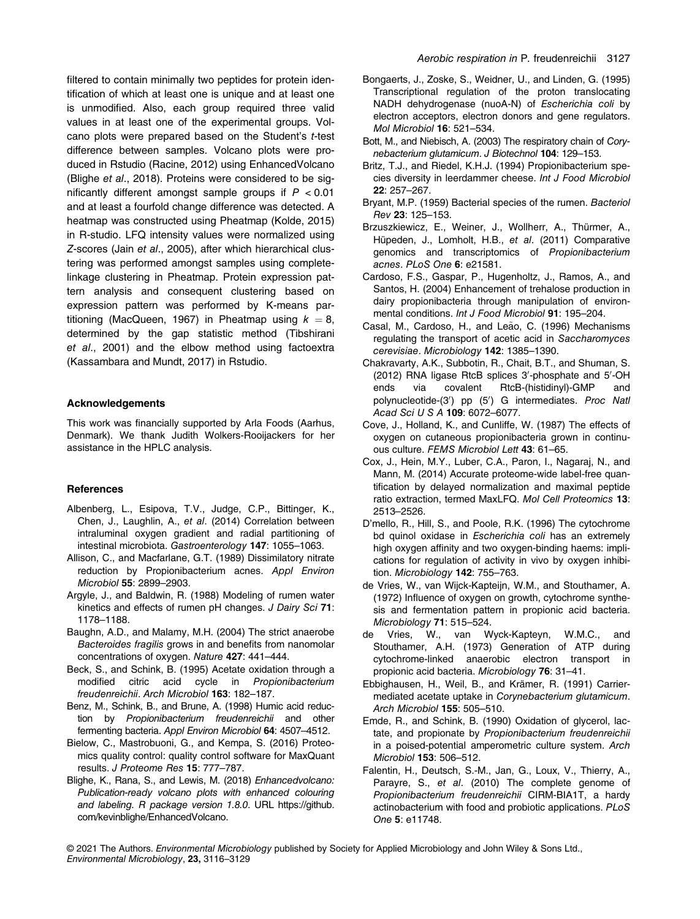filtered to contain minimally two peptides for protein identification of which at least one is unique and at least one is unmodified. Also, each group required three valid values in at least one of the experimental groups. Volcano plots were prepared based on the Student's t-test difference between samples. Volcano plots were produced in Rstudio (Racine, 2012) using EnhancedVolcano (Blighe et al., 2018). Proteins were considered to be significantly different amongst sample groups if  $P < 0.01$ and at least a fourfold change difference was detected. A heatmap was constructed using Pheatmap (Kolde, 2015) in R-studio. LFQ intensity values were normalized using Z-scores (Jain et al., 2005), after which hierarchical clustering was performed amongst samples using completelinkage clustering in Pheatmap. Protein expression pattern analysis and consequent clustering based on expression pattern was performed by K-means partitioning (MacQueen, 1967) in Pheatmap using  $k = 8$ , determined by the gap statistic method (Tibshirani et al., 2001) and the elbow method using factoextra (Kassambara and Mundt, 2017) in Rstudio.

## Acknowledgements

This work was financially supported by Arla Foods (Aarhus, Denmark). We thank Judith Wolkers-Rooijackers for her assistance in the HPLC analysis.

# **References**

- Albenberg, L., Esipova, T.V., Judge, C.P., Bittinger, K., Chen, J., Laughlin, A., et al. (2014) Correlation between intraluminal oxygen gradient and radial partitioning of intestinal microbiota. Gastroenterology 147: 1055–1063.
- Allison, C., and Macfarlane, G.T. (1989) Dissimilatory nitrate reduction by Propionibacterium acnes. Appl Environ Microbiol 55: 2899–2903.
- Argyle, J., and Baldwin, R. (1988) Modeling of rumen water kinetics and effects of rumen pH changes. J Dairy Sci 71: 1178–1188.
- Baughn, A.D., and Malamy, M.H. (2004) The strict anaerobe Bacteroides fragilis grows in and benefits from nanomolar concentrations of oxygen. Nature 427: 441–444.
- Beck, S., and Schink, B. (1995) Acetate oxidation through a modified citric acid cycle in Propionibacterium freudenreichii. Arch Microbiol 163: 182–187.
- Benz, M., Schink, B., and Brune, A. (1998) Humic acid reduction by Propionibacterium freudenreichii and other fermenting bacteria. Appl Environ Microbiol 64: 4507–4512.
- Bielow, C., Mastrobuoni, G., and Kempa, S. (2016) Proteomics quality control: quality control software for MaxQuant results. J Proteome Res 15: 777–787.
- Blighe, K., Rana, S., and Lewis, M. (2018) Enhancedvolcano: Publication-ready volcano plots with enhanced colouring and labeling. R package version 1.8.0. URL [https://github.](https://github.com/kevinblighe/EnhancedVolcano) [com/kevinblighe/EnhancedVolcano](https://github.com/kevinblighe/EnhancedVolcano).
- Bongaerts, J., Zoske, S., Weidner, U., and Linden, G. (1995) Transcriptional regulation of the proton translocating NADH dehydrogenase (nuoA-N) of Escherichia coli by electron acceptors, electron donors and gene regulators. Mol Microbiol 16: 521–534.
- Bott, M., and Niebisch, A. (2003) The respiratory chain of Corynebacterium glutamicum. J Biotechnol 104: 129–153.
- Britz, T.J., and Riedel, K.H.J. (1994) Propionibacterium species diversity in leerdammer cheese. Int J Food Microbiol 22: 257–267.
- Bryant, M.P. (1959) Bacterial species of the rumen. Bacteriol Rev 23: 125–153.
- Brzuszkiewicz, E., Weiner, J., Wollherr, A., Thürmer, A., Hüpeden, J., Lomholt, H.B., et al. (2011) Comparative genomics and transcriptomics of Propionibacterium acnes. PLoS One 6: e21581.
- Cardoso, F.S., Gaspar, P., Hugenholtz, J., Ramos, A., and Santos, H. (2004) Enhancement of trehalose production in dairy propionibacteria through manipulation of environmental conditions. Int J Food Microbiol 91: 195–204.
- Casal, M., Cardoso, H., and Leão, C. (1996) Mechanisms regulating the transport of acetic acid in Saccharomyces cerevisiae. Microbiology 142: 1385–1390.
- Chakravarty, A.K., Subbotin, R., Chait, B.T., and Shuman, S.  $(2012)$  RNA ligase RtcB splices 3'-phosphate and 5'-OH ends via covalent RtcB-(histidinyl)-GMP and polynucleotide-(3') pp (5') G intermediates. Proc Nati Acad Sci U S A 109: 6072–6077.
- Cove, J., Holland, K., and Cunliffe, W. (1987) The effects of oxygen on cutaneous propionibacteria grown in continuous culture. FEMS Microbiol Lett 43: 61–65.
- Cox, J., Hein, M.Y., Luber, C.A., Paron, I., Nagaraj, N., and Mann, M. (2014) Accurate proteome-wide label-free quantification by delayed normalization and maximal peptide ratio extraction, termed MaxLFQ. Mol Cell Proteomics 13: 2513–2526.
- D'mello, R., Hill, S., and Poole, R.K. (1996) The cytochrome bd quinol oxidase in Escherichia coli has an extremely high oxygen affinity and two oxygen-binding haems: implications for regulation of activity in vivo by oxygen inhibition. Microbiology 142: 755–763.
- de Vries, W., van Wijck-Kapteijn, W.M., and Stouthamer, A. (1972) Influence of oxygen on growth, cytochrome synthesis and fermentation pattern in propionic acid bacteria. Microbiology 71: 515–524.
- de Vries, W., van Wyck-Kapteyn, W.M.C., and Stouthamer, A.H. (1973) Generation of ATP during cytochrome-linked anaerobic electron transport in propionic acid bacteria. Microbiology 76: 31–41.
- Ebbighausen, H., Weil, B., and Krämer, R. (1991) Carriermediated acetate uptake in Corynebacterium glutamicum. Arch Microbiol 155: 505–510.
- Emde, R., and Schink, B. (1990) Oxidation of glycerol, lactate, and propionate by Propionibacterium freudenreichii in a poised-potential amperometric culture system. Arch Microbiol 153: 506–512.
- Falentin, H., Deutsch, S.-M., Jan, G., Loux, V., Thierry, A., Parayre, S., et al. (2010) The complete genome of Propionibacterium freudenreichii CIRM-BIA1T, a hardy actinobacterium with food and probiotic applications. PLoS One 5: e11748.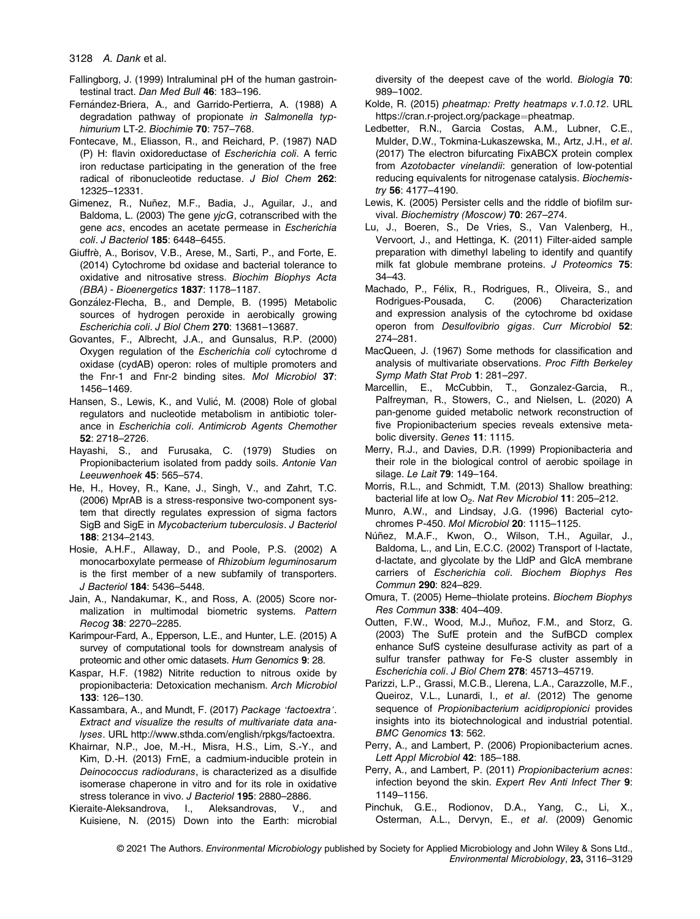3128 A. Dank et al.

- Fallingborg, J. (1999) Intraluminal pH of the human gastrointestinal tract. Dan Med Bull 46: 183–196.
- Fernández-Briera, A., and Garrido-Pertierra, A. (1988) A degradation pathway of propionate in Salmonella typhimurium LT-2. Biochimie 70: 757-768.
- Fontecave, M., Eliasson, R., and Reichard, P. (1987) NAD (P) H: flavin oxidoreductase of Escherichia coli. A ferric iron reductase participating in the generation of the free radical of ribonucleotide reductase. J Biol Chem 262: 12325–12331.
- Gimenez, R., Nuñez, M.F., Badia, J., Aguilar, J., and Baldoma, L. (2003) The gene yjcG, cotranscribed with the gene acs, encodes an acetate permease in Escherichia coli. J Bacteriol 185: 6448–6455.
- Giuffrè, A., Borisov, V.B., Arese, M., Sarti, P., and Forte, E. (2014) Cytochrome bd oxidase and bacterial tolerance to oxidative and nitrosative stress. Biochim Biophys Acta (BBA) - Bioenergetics 1837: 1178–1187.
- González-Flecha, B., and Demple, B. (1995) Metabolic sources of hydrogen peroxide in aerobically growing Escherichia coli. J Biol Chem 270: 13681–13687.
- Govantes, F., Albrecht, J.A., and Gunsalus, R.P. (2000) Oxygen regulation of the Escherichia coli cytochrome d oxidase (cydAB) operon: roles of multiple promoters and the Fnr-1 and Fnr-2 binding sites. Mol Microbiol 37: 1456–1469.
- Hansen, S., Lewis, K., and Vulić, M. (2008) Role of global regulators and nucleotide metabolism in antibiotic tolerance in Escherichia coli. Antimicrob Agents Chemother 52: 2718–2726.
- Hayashi, S., and Furusaka, C. (1979) Studies on Propionibacterium isolated from paddy soils. Antonie Van Leeuwenhoek 45: 565–574.
- He, H., Hovey, R., Kane, J., Singh, V., and Zahrt, T.C. (2006) MprAB is a stress-responsive two-component system that directly regulates expression of sigma factors SigB and SigE in Mycobacterium tuberculosis. J Bacteriol 188: 2134–2143.
- Hosie, A.H.F., Allaway, D., and Poole, P.S. (2002) A monocarboxylate permease of Rhizobium leguminosarum is the first member of a new subfamily of transporters. J Bacteriol 184: 5436–5448.
- Jain, A., Nandakumar, K., and Ross, A. (2005) Score normalization in multimodal biometric systems. Pattern Recog 38: 2270–2285.
- Karimpour-Fard, A., Epperson, L.E., and Hunter, L.E. (2015) A survey of computational tools for downstream analysis of proteomic and other omic datasets. Hum Genomics 9: 28.
- Kaspar, H.F. (1982) Nitrite reduction to nitrous oxide by propionibacteria: Detoxication mechanism. Arch Microbiol 133: 126–130.
- Kassambara, A., and Mundt, F. (2017) Package 'factoextra'. Extract and visualize the results of multivariate data analyses. URL [http://www.sthda.com/english/rpkgs/factoextra.](http://www.sthda.com/english/rpkgs/factoextra)
- Khairnar, N.P., Joe, M.-H., Misra, H.S., Lim, S.-Y., and Kim, D.-H. (2013) FrnE, a cadmium-inducible protein in Deinococcus radiodurans, is characterized as a disulfide isomerase chaperone in vitro and for its role in oxidative stress tolerance in vivo. J Bacteriol 195: 2880–2886.
- Kieraite-Aleksandrova, I., Aleksandrovas, V., and Kuisiene, N. (2015) Down into the Earth: microbial

diversity of the deepest cave of the world. Biologia 70: 989–1002.

- Kolde, R. (2015) pheatmap: Pretty heatmaps v.1.0.12. URL [https://cran.r-project.org/package](https://cran.r-project.org/package=pheatmap)=pheatmap.
- Ledbetter, R.N., Garcia Costas, A.M., Lubner, C.E., Mulder, D.W., Tokmina-Lukaszewska, M., Artz, J.H., et al. (2017) The electron bifurcating FixABCX protein complex from Azotobacter vinelandii: generation of low-potential reducing equivalents for nitrogenase catalysis. Biochemistry 56: 4177–4190.
- Lewis, K. (2005) Persister cells and the riddle of biofilm survival. Biochemistry (Moscow) 70: 267–274.
- Lu, J., Boeren, S., De Vries, S., Van Valenberg, H., Vervoort, J., and Hettinga, K. (2011) Filter-aided sample preparation with dimethyl labeling to identify and quantify milk fat globule membrane proteins. J Proteomics 75: 34–43.
- Machado, P., Félix, R., Rodrigues, R., Oliveira, S., and<br>Rodrigues-Pousada, C. (2006) Characterization Rodrigues-Pousada, C. (2006) Characterization and expression analysis of the cytochrome bd oxidase operon from Desulfovibrio gigas. Curr Microbiol 52: 274–281.
- MacQueen, J. (1967) Some methods for classification and analysis of multivariate observations. Proc Fifth Berkeley Symp Math Stat Prob 1: 281–297.
- Marcellin, E., McCubbin, T., Gonzalez-Garcia, R., Palfreyman, R., Stowers, C., and Nielsen, L. (2020) A pan-genome guided metabolic network reconstruction of five Propionibacterium species reveals extensive metabolic diversity. Genes 11: 1115.
- Merry, R.J., and Davies, D.R. (1999) Propionibacteria and their role in the biological control of aerobic spoilage in silage. Le Lait 79: 149–164.
- Morris, R.L., and Schmidt, T.M. (2013) Shallow breathing: bacterial life at low O<sub>2</sub>. Nat Rev Microbiol 11: 205-212.
- Munro, A.W., and Lindsay, J.G. (1996) Bacterial cytochromes P-450. Mol Microbiol 20: 1115–1125.
- Núñez, M.A.F., Kwon, O., Wilson, T.H., Aguilar, J., Baldoma, L., and Lin, E.C.C. (2002) Transport of l-lactate, d-lactate, and glycolate by the LldP and GlcA membrane carriers of Escherichia coli. Biochem Biophys Res Commun 290: 824–829.
- Omura, T. (2005) Heme–thiolate proteins. Biochem Biophys Res Commun 338: 404–409.
- Outten, F.W., Wood, M.J., Muñoz, F.M., and Storz, G. (2003) The SufE protein and the SufBCD complex enhance SufS cysteine desulfurase activity as part of a sulfur transfer pathway for Fe-S cluster assembly in Escherichia coli. J Biol Chem 278: 45713–45719.
- Parizzi, L.P., Grassi, M.C.B., Llerena, L.A., Carazzolle, M.F., Queiroz, V.L., Lunardi, I., et al. (2012) The genome sequence of Propionibacterium acidipropionici provides insights into its biotechnological and industrial potential. BMC Genomics 13: 562.
- Perry, A., and Lambert, P. (2006) Propionibacterium acnes. Lett Appl Microbiol 42: 185–188.
- Perry, A., and Lambert, P. (2011) Propionibacterium acnes: infection beyond the skin. Expert Rev Anti Infect Ther 9: 1149–1156.
- Pinchuk, G.E., Rodionov, D.A., Yang, C., Li, X., Osterman, A.L., Dervyn, E., et al. (2009) Genomic